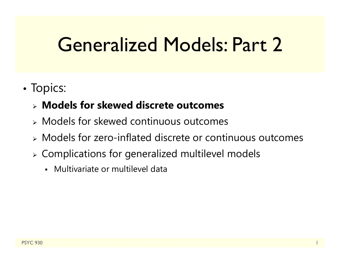### Generalized Models: Part 2

•• Topics:

#### **Models for skewed discrete outcomes**

- Models for skewed continuous outcomes
- Models for zero-inflated discrete or continuous outcomes
- Complications for generalized multilevel models
	- Multivariate or multilevel data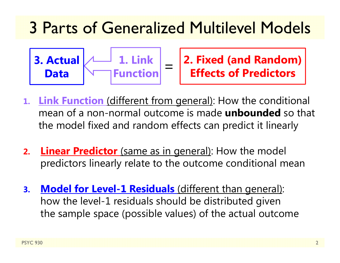### 3 Parts of Generalized Multilevel Models



**2. Fixed (and Random) Effects of Predictors**

- **1.Link Function** (different from general): How the conditional mean of a non-normal outcome is made **unbounded** so that the model fixed and random effects can predict it linearly
- **2.Linear Predictor** (same as in general): How the model predictors linearly relate to the outcome conditional mean
- **3. Model for Level-1 Residuals** (different than general): how the level-1 residuals should be distributed given the sample space (possible values) of the actual outcome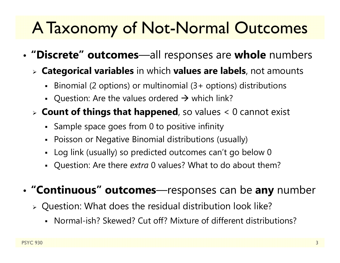### A Taxonomy of Not-Normal Outcomes

- • **"Discrete" outcomes**—all responses are **whole** numbers
	- **Categorical variables** in which **values are labels**, not amounts
		- Binomial (2 options) or multinomial (3+ options) distributions
		- Question: Are the values ordered  $\rightarrow$  which link?
	- **Count of things that happened**, so values < 0 cannot exist
		- Sample space goes from 0 to positive infinity
		- Poisson or Negative Binomial distributions (usually)
		- Log link (usually) so predicted outcomes can't go below 0
		- Question: Are there *extra* 0 values? What to do about them?
- • **"Continuous" outcomes**—responses can be **any** number
	- Question: What does the residual distribution look like?
		- Normal-ish? Skewed? Cut off? Mixture of different distributions?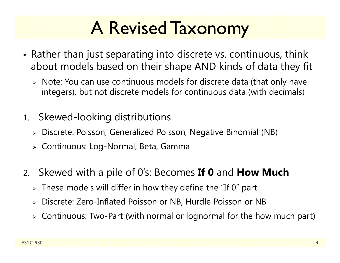# A Revised Taxonomy

- Rather than just separating into discrete vs. continuous, think about models based on their shape AND kinds of data they fit
	- Note: You can use continuous models for discrete data (that only have integers), but not discrete models for continuous data (with decimals)
- 1. Skewed-looking distributions
	- Discrete: Poisson, Generalized Poisson, Negative Binomial (NB)
	- Continuous: Log-Normal, Beta, Gamma
- 2. Skewed with a pile of 0's: Becomes **If 0** and **How Much**
	- $\triangleright$  These models will differ in how they define the "If 0" part
	- $\blacktriangleright$ Discrete: Zero-Inflated Poisson or NB, Hurdle Poisson or NB
	- Continuous: Two-Part (with normal or lognormal for the how much part)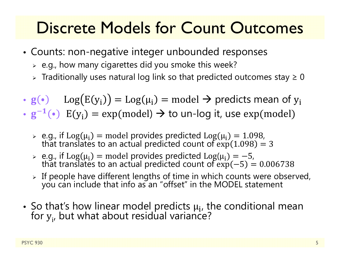### Discrete Models for Count Outcomes

- Counts: non-negative integer unbounded responses
	- $\triangleright$  e.g., how many cigarettes did you smoke this week?
	- $\triangleright$  Traditionally uses natural log link so that predicted outcomes stay  $\geq 0$
- $\mathbf{g}(\cdot)$   $\text{Log}(E(y_i)) = \text{Log}(\mu_i) = \text{model} \rightarrow \text{predicts mean of } y_i$
- $\cdot$   $\rm g^{-1}$ •)  $E(y_i) = exp(mod) \rightarrow to$  un-log it, use  $exp(mod)$ 
	- $\geq$  e.g., if Log( $\mu_i$ ) = model provides predicted Log( $\mu_i$ ) = 1.098,<br>that translates to an actual predicted count of exp(1.098) = 3
	- $\triangleright$   $\,$  e.g., if  $\rm Log(\mu_i$ that translates to an actual predicted count of  $\exp(-5) = 0.006738$
	- > If people have different lengths of time in which counts were observed, you can include that info as an "offset" in the MODEL statement
- So that's how linear model predicts  $\mu_{\bf i}$ , the conditional mean for  $y_{i'}$  but what about residual variance?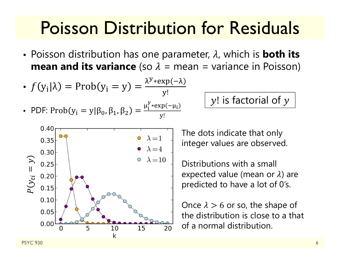### Poisson Distribution for Residuals

• Poisson distribution has one parameter,  $\lambda$ , which is **both its mean and its variance** (so  $\lambda$  = mean = variance in Poisson)

• 
$$
f(y_i|\lambda) = Prob(y_i = y) = \frac{\lambda^{y} * exp(-\lambda)}{y!}
$$
  
\n• PDF:  $Prob(y_i = y | \beta_0, \beta_1, \beta_2) = \frac{\mu_i^{y} * exp(-\mu_i)}{y!}$ 

 $\mathcal{y}!$  is factorial of  $\mathcal{y}$ 



The dots indicate that only integer values are observed.

Distributions with a small expected value (mean or  $\lambda$ ) are predicted to have a lot of 0's.

Once  $\lambda > 6$  or so, the shape of the distribution is close to a that  $\frac{10}{10}$   $\frac{15}{20}$  of a normal distribution.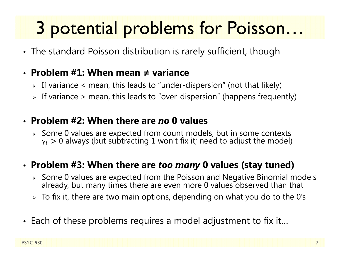# 3 potential problems for Poisson…

• The standard Poisson distribution is rarely sufficient, though

#### • **Problem #1: When mean ≠ variance**

- $\triangleright$  If variance  $<$  mean, this leads to "under-dispersion" (not that likely)
- $\triangleright$  If variance  $\triangleright$  mean, this leads to "over-dispersion" (happens frequently)

#### • **Problem #2: When there are** *no* **0 values**

 $\triangleright$  Some 0 values are expected from count models, but in some contexts  $\rm y_i>0$  always (but subtracting  $1$  won't fix it; need to adjust the model)

#### • **Problem #3: When there are** *too many* **0 values (stay tuned)**

- $\triangleright$  Some 0 values are expected from the Poisson and Negative Binomial models already, but many times there are even more 0 values observed than that
- $\triangleright\;$  To fix it, there are two main options, depending on what you do to the 0's
- Each of these problems requires a model adjustment to fix it…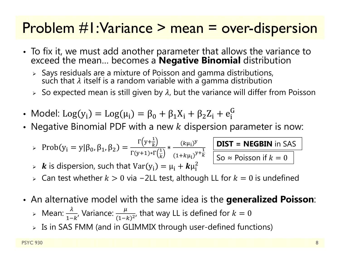#### Problem #1: Variance > mean = over-dispersion

- To fix it, we must add another parameter that allows the variance to exceed the mean… becomes a **Negative Binomial** distribution
	- $\triangleright$  Says residuals are a mixture of Poisson and gamma distributions,<br>such that  $\lambda$  itself is a random variable with a gamma distribution
	- $\triangleright$   $\,$  So expected mean is still given by  $\lambda$ , but the variance will differ from Poisson
- Model: Log(y<sub>i</sub>) = Log( $\mu$ <sub>i</sub>) =  $\beta_0 + \beta_1 X_i + \beta_2 Z_i + e_i^G$
- Negative Binomial PDF with a new  $k$  dispersion parameter is now:

$$
\text{Prob}(y_i = y | \beta_0, \beta_1, \beta_2) = \frac{\Gamma(y + \frac{1}{k})}{\Gamma(y + 1) \cdot \Gamma(\frac{1}{k})} \cdot \frac{(k\mu_i)^y}{(1 + k\mu_i)^{y + \frac{1}{k}}}
$$

**DIST** = NEGBIN in SAS  
So 
$$
\approx
$$
 Poisson if  $k = 0$ 

- $\triangleright$   $\cdot$   $\cdot$   $\cdot$  is dispersion, such that  $\text{Var}(y_i) = \mu_i + k \mu_i^2$
- $\triangleright\;$  Can test whether  $k>0$  via –2LL test, although LL for  $k=0$  is undefined
- An alternative model with the same idea is the **generalized Poisson**:
	- > Mean:  $\frac{\lambda}{1-k}$ , Variance:  $\frac{\mu}{(1-k)}$  $\frac{\mu}{(1-k)^{2'}}$  that way LL is defined for  $k=0$
	- $\triangleright$  Is in SAS FMM (and in GLIMMIX through user-defined functions)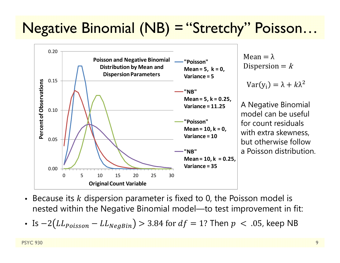### Negative Binomial (NB) = "Stretchy" Poisson…



- $\bullet$ • Because its  $k$  dispersion parameter is fixed to 0, the Poisson model is nested within the Negative Binomial model—to test improvement in fit:
- Is  $-2 (LL_{Poisson} LL_{NegBin}) > 3.84$  for  $df = 1?$  Then  $p~<~.05$ , keep NB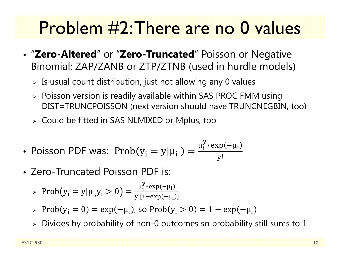### Problem #2: There are no 0 values

- "**Zero-Altered**" or "**Zero-Truncated**" Poisson or Negative Binomial: ZAP/ZANB or ZTP/ZTNB (used in hurdle models)
	- $\triangleright$  Is usual count distribution, just not allowing any 0 values
	- $\triangleright$  Poisson version is readily available within SAS PROC FMM using DIST=TRUNCPOISSON (next version should have TRUNCNEGBIN, too)
	- $\triangleright\;$  Could be fitted in SAS NLMIXED or Mplus, too
- Poisson PDF was:  $\mathrm{Prob}(y_i = y | \mu_i) = \frac{\mu_i^y * \exp(-\mu_i)}{\mu_i^y}$ ୷!
- Zero-Truncated Poisson PDF is:
	- Prob $(y_i = y | \mu_{i,} y_i > 0) = \frac{\mu_i^{y} \cdot \exp(-\mu_i)}{\mu_i^{y} \cdot \exp(-\mu_i)}$ y![1–exp(–μ<sub>i</sub>
	- $\triangleright \ \mathrm{Prob}(y_i = 0) = \exp(-\mu_i)$ , so  $\mathrm{Prob}(y_i > 0) = 1 \exp(-\mu_i)$
	- $\triangleright$  Divides by probability of non-0 outcomes so probability still sums to  $1$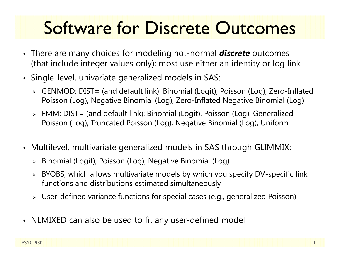## Software for Discrete Outcomes

- There are many choices for modeling not-normal *discrete* outcomes (that include integer values only); most use either an identity or log link
- Single-level, univariate generalized models in SAS:
	- GENMOD: DIST= (and default link): Binomial (Logit), Poisson (Log), Zero-Inflated Poisson (Log), Negative Binomial (Log), Zero-Inflated Negative Binomial (Log)
	- FMM: DIST= (and default link): Binomial (Logit), Poisson (Log), Generalized Poisson (Log), Truncated Poisson (Log), Negative Binomial (Log), Uniform
- Multilevel, multivariate generalized models in SAS through GLIMMIX:
	- Binomial (Logit), Poisson (Log), Negative Binomial (Log)
	- BYOBS, which allows multivariate models by which you specify DV-specific link functions and distributions estimated simultaneously
	- User-defined variance functions for special cases (e.g., generalized Poisson)
- NLMIXED can also be used to fit any user-defined model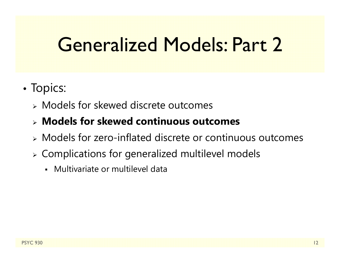### Generalized Models: Part 2

- •• Topics:
	- Models for skewed discrete outcomes
	- **Models for skewed continuous outcomes**
	- Models for zero-inflated discrete or continuous outcomes
	- Complications for generalized multilevel models
		- Multivariate or multilevel data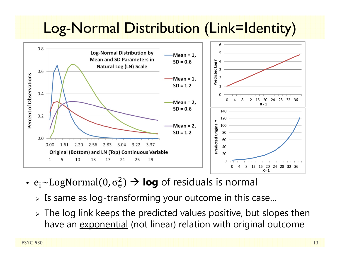### Log-Normal Distribution (Link=Identity)



- $\bullet$  e $\rm _i$ ~LogNormal(0,  $\rm \sigma_e^2$  $\epsilon_{\rm e}^{\rm 2})$   $\rightarrow$  **log** of residuals is normal
	- $\triangleright$  Is same as log-transforming your outcome in this case…
	- $\triangleright$  The log link keeps the predicted values positive, but slopes then have an exponential (not linear) relation with original outcome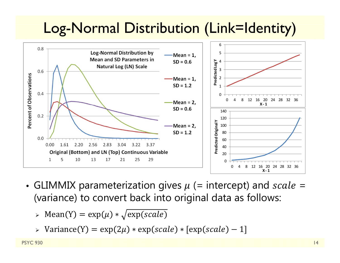### Log-Normal Distribution (Link=Identity)



- GLIMMIX parameterization gives  $\mu$  (= intercept) and  $scale=$ (variance) to convert back into original data as follows:
	- $\triangleright$  Mean(Y) = exp( $\mu$ ) \*  $\sqrt{\exp(scale)}$
	- > Variance(Y) =  $\exp(2\mu) * \exp(\textit{scale}) * [\exp(\textit{scale}) 1]$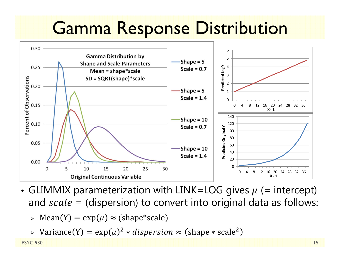### Gamma Response Distribution



- GLIMMIX parameterization with LINK=LOG gives  $\mu$  (= intercept) and  $scale = (dispersion)$  to convert into original data as follows:
	- $\triangleright$  Mean(Y) = exp( $\mu) \approx$  (shape\*scale)
	- $\triangleright$  Variance(Y) = exp( $\mu$ )<sup>2</sup>  $\ast$  *dispersion*  $\approx$  (shape  $\ast$  scale<sup>2</sup>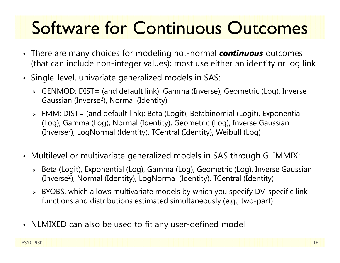# Software for Continuous Outcomes

- There are many choices for modeling not-normal *continuous* outcomes (that can include non-integer values); most use either an identity or log link
- Single-level, univariate generalized models in SAS:
	- GENMOD: DIST= (and default link): Gamma (Inverse), Geometric (Log), Inverse Gaussian (Inverse 2), Normal (Identity)
	- FMM: DIST= (and default link): Beta (Logit), Betabinomial (Logit), Exponential (Log), Gamma (Log), Normal (Identity), Geometric (Log), Inverse Gaussian (Inverse 2), LogNormal (Identity), TCentral (Identity), Weibull (Log)
- Multilevel or multivariate generalized models in SAS through GLIMMIX:
	- Beta (Logit), Exponential (Log), Gamma (Log), Geometric (Log), Inverse Gaussian (Inverse 2), Normal (Identity), LogNormal (Identity), TCentral (Identity)
	- BYOBS, which allows multivariate models by which you specify DV-specific link functions and distributions estimated simultaneously (e.g., two-part)
- NLMIXED can also be used to fit any user-defined model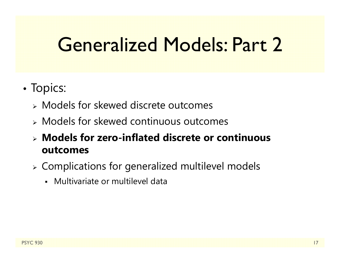### Generalized Models: Part 2

- •• Topics:
	- Models for skewed discrete outcomes
	- Models for skewed continuous outcomes
	- **Models for zero-inflated discrete or continuous outcomes**
	- $\triangleright$  Complications for generalized multilevel models
		- Multivariate or multilevel data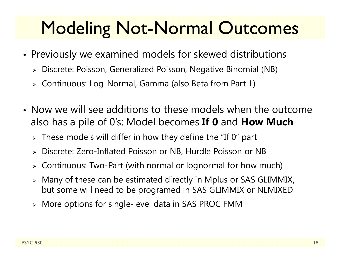### Modeling Not-Normal Outcomes

- • Previously we examined models for skewed distributions
	- Discrete: Poisson, Generalized Poisson, Negative Binomial (NB)
	- Continuous: Log-Normal, Gamma (also Beta from Part 1)
- Now we will see additions to these models when the outcome also has a pile of 0's: Model becomes **If 0** and **How Much**
	- $\triangleright$  These models will differ in how they define the "If 0" part
	- Discrete: Zero-Inflated Poisson or NB, Hurdle Poisson or NB
	- Continuous: Two-Part (with normal or lognormal for how much)
	- $\blacktriangleright$  Many of these can be estimated directly in Mplus or SAS GLIMMIX, but some will need to be programed in SAS GLIMMIX or NLMIXED
	- More options for single-level data in SAS PROC FMM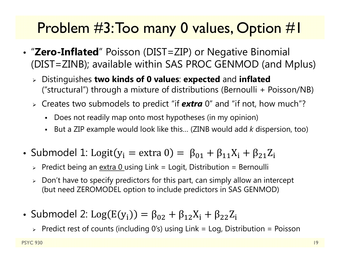### Problem #3: Too many 0 values, Option #1

- "**Zero-Inflated**" Poisson (DIST=ZIP) or Negative Binomial (DIST=ZINB); available within SAS PROC GENMOD (and Mplus)
	- Distinguishes **two kinds of 0 values**: **expected** and **inflated** ("structural") through a mixture of distributions (Bernoulli + Poisson/NB)
	- Creates two submodels to predict "if *extra* 0" and "if not, how much"?
		- Does not readily map onto most hypotheses (in my opinion)
		- But a ZIP example would look like this… (ZINB would add *k* dispersion, too)
- Submodel 1: Logit(y<sub>i</sub> = extra 0) =  $\beta_{01} + \beta_{11}X_i + \beta_{21}Z_i$ 
	- > Predict being an <u>extra 0 using Link = Log</u>it, Distribution = Bernoulli
	- $\triangleright\;$  Don't have to specify predictors for this part, can simply allow an intercept (but need ZEROMODEL option to include predictors in SAS GENMOD)
- Submodel 2: Log $(\mathrm{E}(\mathrm{y}_{\mathrm{i}}))=\beta_{02}+\beta_{12}\mathrm{X}_{\mathrm{i}}+\beta_{22}\mathrm{Z}_{\mathrm{i}}$ 
	- $\triangleright$  Predict rest of counts (including 0's) using Link = Log, Distribution = Poisson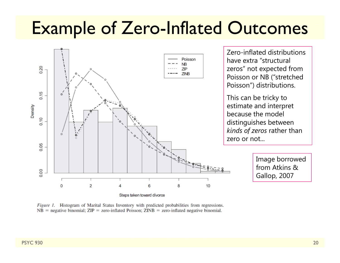### Example of Zero-Inflated Outcomes



Figure 1. Histogram of Marital Status Inventory with predicted probabilities from regressions.  $NB$  = negative binomial;  $ZIP$  = zero-inflated Poisson;  $ZINB$  = zero-inflated negative binomial.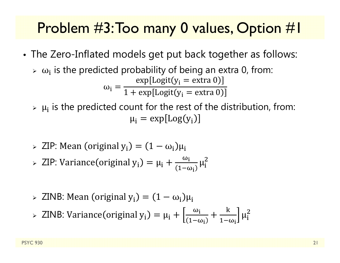#### Problem #3: Too many 0 values, Option #1

- • The Zero-Inflated models get put back together as follows:
	- $\triangleright$   $\omega_i$  is the predicted probability of being an extra 0, from:  $\omega_{\rm i} =$  $\exp[\text{Logit}(y_i = \text{extra}\ 0$  $1+\exp[\text{Logit}(y_{\text{i}}=\text{extra 0}$
	- $\triangleright$   $\mu_i$  is the predicted count for the rest of the distribution, from:  $\mu_{\rm i} = \exp[\text{Log}( \mathrm{y}_{\rm i})]$
	- $\triangleright$  ZIP: Mean (original y<sub>i</sub>) =  $(1 \omega_i)\mu_i$
	- $\triangleright$  ZIP: Variance (original  $y_i$ ) =  $\mu_i + \frac{\omega_i}{\sqrt{1-\omega_i}}$  $1-\omega_{\rm i}$  $\mu_{\tilde{\text{i}}}$  $\overline{2}$
	- $>$  ZINB: Mean (original  $\rm y_i)=(1-\omega_i)\mu_i$
	- > ZINB: Variance (original y<sub>i</sub>) = μ<sub>i</sub> +  $\frac{\omega_i}{\sqrt{1-\omega_i}}$  $1-\omega_{\rm i}$ ╅  $\bf k$  $1-\omega_{\rm i}$  $\mu_{\rm i}$  $\overline{2}$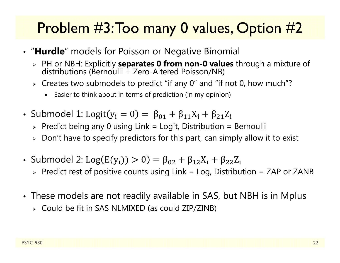### Problem #3: Too many 0 values, Option #2

- "**Hurdle**" models for Poisson or Negative Binomial
	- PH or NBH: Explicitly **separates 0 from non-0 values** through a mixture of distributions (Bernoulli + Zero-Altered Poisson/NB)
	- $\triangleright$  Creates two submodels to predict "if any 0" and "if not 0, how much"?
		- Easier to think about in terms of prediction (in my opinion)
- Submodel 1: Logit(y<sub>i</sub> = 0) =  $\beta_{01} + \beta_{11}X_i + \beta_{21}Z_i$ 
	- > Predict being <u>any 0</u> using Link = Logit, Distribution = Bernoulli
	- $\triangleright\;$  Don't have to specify predictors for this part, can simply allow it to exist
- Submodel 2: Log $(\mathrm{E}(\mathrm{y}_{\mathrm{i}}))>0)=\beta_{02}+\beta_{12}\mathrm{X}_{\mathrm{i}}+\beta_{22}\mathrm{Z}_{\mathrm{i}}$ 
	- $\triangleright$  Predict rest of positive counts using Link = Log, Distribution = ZAP or ZANB
- These models are not readily available in SAS, but NBH is in Mplus
	- Could be fit in SAS NLMIXED (as could ZIP/ZINB)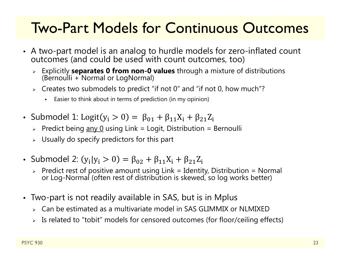#### Two-Part Models for Continuous Outcomes

- A two-part model is an analog to hurdle models for zero-inflated count<br>outcomes (and could be used with count outcomes, too)
	- Explicitly **separates 0 from non-0 values** through a mixture of distributions (Bernoulli + Normal or LogNormal)
	- $\triangleright$  Creates two submodels to predict "if not 0" and "if not 0, how much"?
		- Easier to think about in terms of prediction (in my opinion)
- Submodel 1: Logit(y $_{\rm i}>0)=\ \beta_{01}+\beta_{11} \mathrm{X}_{\rm i}+\beta_{21} \mathrm{Z}_{\rm i}$ 
	- > Predict being <u>any 0</u> using Link = Logit, Distribution = Bernoulli
	- $\triangleright$  Usually do specify predictors for this part
- Submodel 2:  $(y_i|y_i > 0) = \beta_{02} + \beta_{11}X_i + \beta_{21}Z_i$ 
	- Predict rest of positive amount using Link = Identity, Distribution = Normal or Log-Normal (often rest of distribution is skewed, so log works better)
- Two-part is not readily available in SAS, but is in Mplus
	- Can be estimated as a multivariate model in SAS GLIMMIX or NLMIXED
	- Is related to "tobit" models for censored outcomes (for floor/ceiling effects)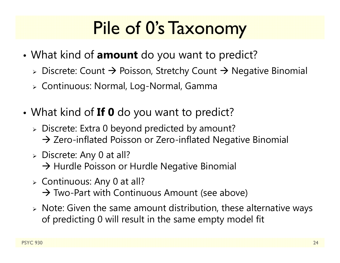# Pile of 0's Taxonomy

- What kind of **amount** do you want to predict?
	- $\triangleright$  Discrete: Count  $\rightarrow$  Poisson, Stretchy Count  $\rightarrow$  Negative Binomial
	- Continuous: Normal, Log-Normal, Gamma
- What kind of **If 0** do you want to predict?
	- Discrete: Extra 0 beyond predicted by amount?  $\rightarrow$  Zero-inflated Poisson or Zero-inflated Negative Binomial
	- Discrete: Any 0 at all?
		- $\rightarrow$  Hurdle Poisson or Hurdle Negative Binomial
	- Continuous: Any 0 at all?
		- $\rightarrow$  Two-Part with Continuous Amount (see above)
	- $\triangleright$  Note: Given the same amount distribution, these alternative ways of predicting 0 will result in the same empty model fit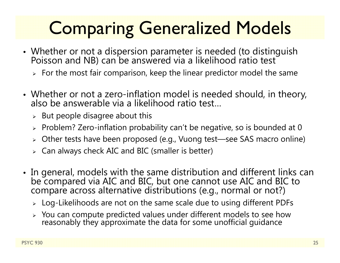# Comparing Generalized Models

- Whether or not a dispersion parameter is needed (to distinguish Poisson and NB) can be answered via a likelihood ratio test
	- $\triangleright\;$  For the most fair comparison, keep the linear predictor model the same
- Whether or not a zero-inflation model is needed should, in theory, also be answerable via a likelihood ratio test…
	- $\triangleright$  But people disagree about this
	- $\triangleright$  Problem? Zero-inflation probability can't be negative, so is bounded at 0
	- Other tests have been proposed (e.g., Vuong test—see SAS macro online)
	- $\triangleright$   $\,$  Can always check AIC and BIC (smaller is better)
- In general, models with the same distribution and different links can be compared via AIC and BIC, but one cannot use AIC and BIC to compare across alternative distributions (e.g., normal or not?)
	- $\triangleright$  Log-Likelihoods are not on the same scale due to using different PDFs
	- > You can compute predicted values under different models to see how reasonably they approximate the data for some unofficial guidance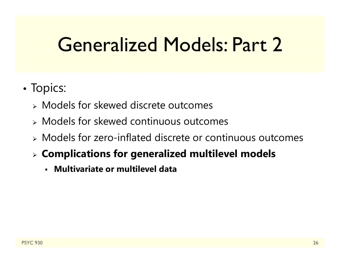### Generalized Models: Part 2

- •• Topics:
	- Models for skewed discrete outcomes
	- Models for skewed continuous outcomes
	- Models for zero-inflated discrete or continuous outcomes
	- **Complications for generalized multilevel models**
		- **Multivariate or multilevel data**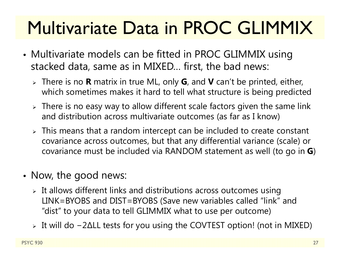# Multivariate Data in PROC GLIMMIX

- • Multivariate models can be fitted in PROC GLIMMIX using stacked data, same as in MIXED… first, the bad news:
	- There is no **R** matrix in true ML, only **G**, and **V** can't be printed, either, which sometimes makes it hard to tell what structure is being predicted
	- $\triangleright$  There is no easy way to allow different scale factors given the same link and distribution across multivariate outcomes (as far as I know)
	- $\triangleright$  This means that a random intercept can be included to create constant covariance across outcomes, but that any differential variance (scale) or covariance must be included via RANDOM statement as well (to go in **G**)
- Now, the good news:
	- $\triangleright$  It allows different links and distributions across outcomes using LINK=BYOBS and DIST=BYOBS (Save new variables called "link" and "dist" to your data to tell GLIMMIX what to use per outcome)
	- It will do − 2 ∆LL tests for you using the COVTEST option! (not in MIXED)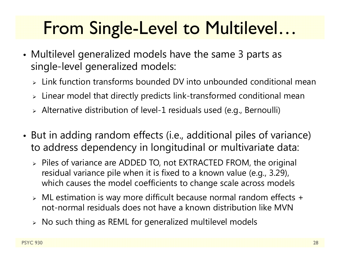### From Single-Level to Multilevel…

- Multilevel generalized models have the same 3 parts as single-level generalized models:
	- $\triangleright$  Link function transforms bounded DV into unbounded conditional mean
	- $\triangleright$  Linear model that directly predicts link-transformed conditional mean
	- Alternative distribution of level-1 residuals used (e.g., Bernoulli)
- • But in adding random effects (i.e., additional piles of variance) to address dependency in longitudinal or multivariate data:
	- Piles of variance are ADDED TO, not EXTRACTED FROM, the original residual variance pile when it is fixed to a known value (e.g., 3.29), which causes the model coefficients to change scale across models
	- ML estimation is way more difficult because normal random effects + not-normal residuals does not have a known distribution like MVN
	- $\triangleright\;$  No such thing as REML for generalized multilevel models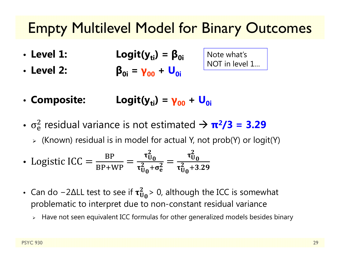#### Empty Multilevel Model for Binary Outcomes

- Level 1: • Level 1:  $Logit(y_{ti}) = \beta_{0i}$
- **Level 2: β0i <sup>=</sup> γ00 <sup>+</sup> U0i**

Note what's NOT in level 1…

- Composite: Logit(y<sub>ti</sub>) = **γ00 <sup>+</sup> U0i**
- $\bullet$   $\ \sigma_{\rm e}$  $\frac{2}{9}$  residual variance is not estimated  $\rightarrow \pi^2/3 = 3.29$ 
	- (Known) residual is in model for actual Y, not prob(Y) or logit(Y)

• Logistic ICC = 
$$
\frac{BP}{BP+WP}
$$
 =  $\frac{\tau_{U_0}^2}{\tau_{U_0}^2 + \sigma_e^2}$  =  $\frac{\tau_{U_0}^2}{\tau_{U_0}^2 + 3.29}$ 

- Can do –2 $\Delta$ LL test to see if  $\tau_U^2$  $^{2}_{\text{U}_0}$ > 0, although the ICC is somewhat problematic to interpret due to non-constant residual variance
	- $\triangleright$   $\;$  Have not seen equivalent ICC formulas for other generalized models besides binary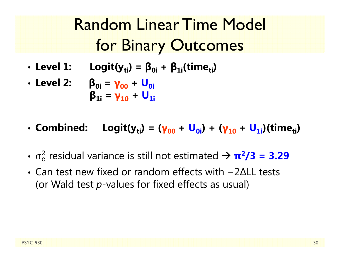### Random Linear Time Model for Binary Outcomes

- Level 1: • Level 1: Logit(y<sub>ti</sub>) =  $\beta_{0i}$  +  $\beta_{1i}$ (time<sub>ti</sub>)
- **Level 2: β0i <sup>=</sup> γ00 <sup>+</sup> U0iβ1i <sup>=</sup> γ10 <sup>+</sup> U1i**
- Combined: • Combined: Logit(y<sub>ti</sub>) = (γ<sub>00</sub> + U<sub>0i</sub>) + (γ<sub>10</sub> + U<sub>1i</sub>)(time<sub>ti</sub>)
- $\bullet$   $\ \sigma_{\rm e}$  $\frac{2}{9}$  residual variance is still not estimated  $\rightarrow \pi^2/3 = 3.29$
- Can test new fixed or random effects with -2∆LL tests (or Wald test *p*-values for fixed effects as usual)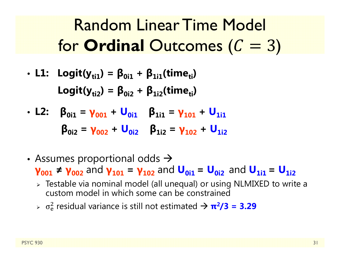Random Linear Time Model for **Ordinal** Outcomes ( )

\n- LI: 
$$
Logit(y_{ti1}) = \beta_{0i1} + \beta_{1i1}(time_{ti})
$$
\n- Logit(y\_{ti2}) =  $\beta_{0i2} + \beta_{1i2}(time_{ti})$
\n

- L2:  $\beta_{0i1} = \gamma_{001} + \mathsf{U}_{0i1}$   $\beta_{1i1} = \gamma_{101} + \mathsf{U}_{1i1}$ **β0i2 <sup>=</sup> γ002 <sup>+</sup> U0i2β1i2 <sup>=</sup> γ102 <sup>+</sup> U1i2**
- Assumes proportional odds  $\rightarrow$

**γ**<sub>001</sub> ≠ **γ**<sub>002</sub> and **γ**<sub>101</sub> = **γ**<sub>102</sub> and **U<sub>0i1</sub>** = **U<sub>0i2</sub>** and **U**<sub>1i1</sub> = **U**<sub>1i2</sub>

- Testable via nominal model (all unequal) or using NLMIXED to write a custom model in which some can be constrained
- $\triangleright$   $\sigma_{\rm e}$  $\frac{2}{9}$  residual variance is still not estimated  $\rightarrow \pi^2/3 = 3.29$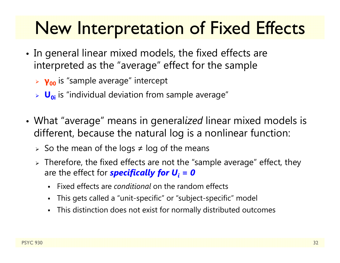### New Interpretation of Fixed Effects

- • $\bullet\,$  In general linear mixed models, the fixed effects are interpreted as the "average" effect for the sample
	- **γ00** is "sample average" intercept
	- **U**<sub>oi</sub> is "individual deviation from sample average"
- What "average" means in general*ized* linear mixed models is different, because the natural log is a nonlinear function:
	- $\triangleright\;$  So the mean of the logs  $\neq$  log of the means
	- $\triangleright$  Therefore, the fixed effects are not the "sample average" effect, they are the effect for *specifically for U<sub>i</sub> = 0* 
		- $\blacksquare$ Fixed effects are *conditional* on the random effects
		- $\blacksquare$ This gets called a "unit-specific" or "subject-specific" model
		- $\blacksquare$ This distinction does not exist for normally distributed outcomes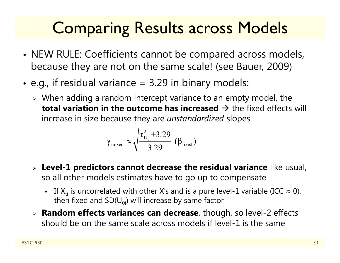### Comparing Results across Models

- •• NEW RULE: Coefficients cannot be compared across models, because they are not on the same scale! (see Bauer, 2009)
- • $\bullet\,$  e.g., if residual variance = 3.29 in binary models:
	- $\triangleright$  When adding a random intercept variance to an empty model, the  $\mathop{\mathsf{total}}$  variation in the outcome has increased  $\mathop{\rightarrow}$  the fixed effects will increase in size because they are *unstandardized* slopes

$$
\gamma_{\text{mixed}} \approx \sqrt{\frac{\tau_{U_0}^2 + 3.29}{3.29}} \, (\beta_{\text{fixed}})
$$

- **Level-1 predictors cannot decrease the residual variance** like usual, so all other models estimates have to go up to compensate
	- **The** If  $X_{ti}$  is uncorrelated with other X's and is a pure level-1 variable (ICC  $\approx$  0), then fixed and  $SD(U_{0i})$  will increase by same factor
- **Random effects variances can decrease**, though, so level-2 effects should be on the same scale across models if level-1 is the same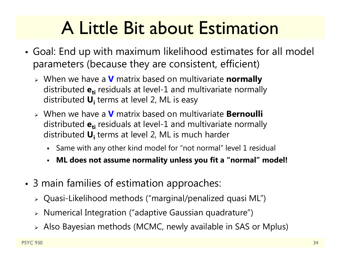### A Little Bit about Estimation

- • Goal: End up with maximum likelihood estimates for all model parameters (because they are consistent, efficient)
	- When we have a **V** matrix based on multivariate **normally** distributed  $\mathbf{e_{ti}}$  residuals at level-1 and multivariate normally distributed **Ui** terms at level 2, ML is easy
	- When we have a **V** matrix based on multivariate **Bernoulli** distributed  $\mathbf{e_{ti}}$  residuals at level-1 and multivariate normally distributed **Ui** terms at level 2, ML is much harder
		- Same with any other kind model for "not normal" level 1 residual
		- $\blacksquare$ **ML does not assume normality unless you fit a "normal" model!**
- • 3 main families of estimation approaches:
	- Quasi-Likelihood methods ("marginal/penalized quasi ML")
	- $\triangleright$   $\,$  Numerical Integration ("adaptive Gaussian quadrature")
	- Also Bayesian methods (MCMC, newly available in SAS or Mplus)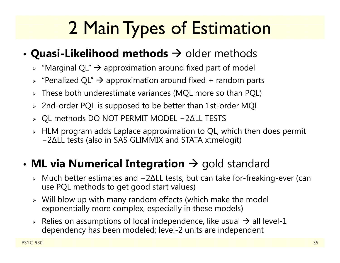# 2 Main Types of Estimation

#### • $\bullet$  Quasi-Likelihood methods  $\rightarrow$  older methods

- $\triangleright$  "Marginal QL"  $\rightarrow$  approximation around fixed part of model
- $\triangleright$  "Penalized QL"  $\rightarrow$  approximation around fixed + random parts
- These both underestimate variances (MQL more so than PQL)
- $\triangleright$  2nd-order PQL is supposed to be better than 1st-order MQL
- QL methods DO NOT PERMIT MODEL − 2 ∆LL TESTS
- $\triangleright$  HLM program adds Laplace approximation to QL, which then does permit − 2 ∆LL tests (also in SAS GLIMMIX and STATA xtmelogit)

#### • $\bullet$  **ML via Numerical Integration**  $\to$  gold standard

- Much better estimates and − 2 ∆LL tests, but can take for-freaking-ever (can use PQL methods to get good start values)
- Will blow up with many random effects (which make the model exponentially more complex, especially in these models)
- $\triangleright$  Relies on assumptions of local independence, like usual  $\rightarrow$  all level-1 dependency has been modeled; level-2 units are independent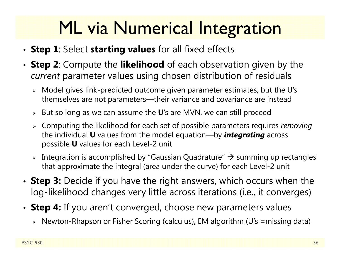### ML via Numerical Integration

- **Step 1**: Select **starting values** for all fixed effects
- **Step 2**: Compute the **likelihood** of each observation given by the *current* parameter values using chosen distribution of residuals
	- Model gives link-predicted outcome given parameter estimates, but the U's themselves are not parameters—their variance and covariance are instead
	- But so long as we can assume the **U**'s are MVN, we can still proceed
	- Computing the likelihood for each set of possible parameters requires *removing* the individual **U** values from the model equation—by *integrating* across possible **U** values for each Level-2 unit
	- $\triangleright$  Integration is accomplished by "Gaussian Quadrature"  $\rightarrow$  summing up rectangles that approximate the integral (area under the curve) for each Level-2 unit
- **Step 3:** Decide if you have the right answers, which occurs when the log-likelihood changes very little across iterations (i.e., it converges)
- **Step 4:** If you aren't converged, choose new parameters values
	- Newton-Rhapson or Fisher Scoring (calculus), EM algorithm (U's =missing data)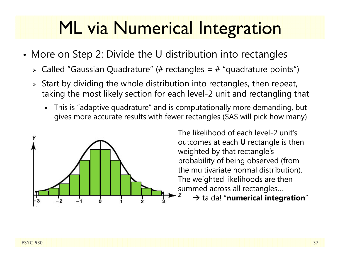### ML via Numerical Integration

- More on Step 2: Divide the U distribution into rectangles
	- $\triangleright$  Called "Gaussian Quadrature" (# rectangles = # "quadrature points")
	- $\triangleright$  Start by dividing the whole distribution into rectangles, then repeat, taking the most likely section for each level-2 unit and rectangling that
		- This is "adaptive quadrature" and is computationally more demanding, but gives more accurate results with fewer rectangles (SAS will pick how many)



The likelihood of each level-2 unit's outcomes at each **U** rectangle is then weighted by that rectangle's probability of being observed (from the multivariate normal distribution). The weighted likelihoods are then summed across all rectangles…

 $\rightarrow$  ta da! "numerical integration"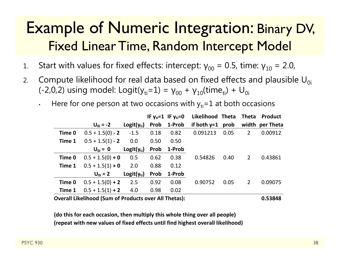#### Example of Numeric Integration: Binary DV, Fixed Linear Time, Random Intercept Model

- 1.. Start with values for fixed effects: intercept:  $γ_{00}$  = 0.5, time:  $γ_{10}$  = 2.0,
- 2.Compute likelihood for real data based on fixed effects and plausible  $U_{0i}$ (-2,0,2) using model: Logit(y $_{\rm ti}$ =1) =  $\gamma_{00}$  +  $\gamma_{10}$ (time $_{\rm ti})$  + U $_{\rm 0i}$ 
	- •Here for one person at two occasions with  $y_{ti}=1$  at both occasions

|        |                    |                 |      | IF $y_{ti} = 1$ IF $y_{ti} = 0$ | Likelihood Theta Theta |      |                | <b>Product</b>  |
|--------|--------------------|-----------------|------|---------------------------------|------------------------|------|----------------|-----------------|
|        | $U_{0i} = -2$      | $Logit(y_{ti})$ |      | Prob 1-Prob                     | if both $y=1$ prob     |      |                | width per Theta |
| Time 0 | $0.5 + 1.5(0) - 2$ | $-1.5$          | 0.18 | 0.82                            | 0.091213               | 0.05 | $\overline{2}$ | 0.00912         |
| Time 1 | $0.5 + 1.5(1) - 2$ | 0.0             | 0.50 | 0.50                            |                        |      |                |                 |
|        | $U_{0i} = 0$       | $Logit(y_{ti})$ | Prob | 1-Prob                          |                        |      |                |                 |
| Time 0 | $0.5 + 1.5(0) + 0$ | 0.5             | 0.62 | 0.38                            | 0.54826                | 0.40 | 2              | 0.43861         |
| Time 1 | $0.5 + 1.5(1) + 0$ | 2.0             | 0.88 | 0.12                            |                        |      |                |                 |
|        | $U_{0i} = 2$       | $Logit(y_{ti})$ | Prob | 1-Prob                          |                        |      |                |                 |
| Time 0 | $0.5 + 1.5(0) + 2$ | 2.5             | 0.92 | 0.08                            | 0.90752                | 0.05 | $\overline{2}$ | 0.09075         |
| Time 1 | $0.5 + 1.5(1) + 2$ | 4.0             | 0.98 | 0.02                            |                        |      |                |                 |
|        |                    |                 |      |                                 |                        |      |                |                 |

**Overall Likelihood (Sum of Products over All Thetas): 0.53848**

**(do this for each occasion, then multiply this whole thing over all people) (repeat with new values of fixed effects until find highest overall likelihood)**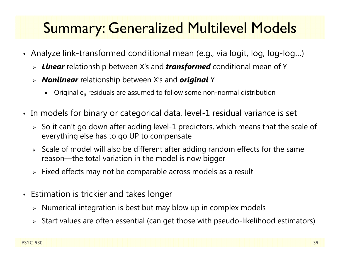### Summary: Generalized Multilevel Models

- Analyze link-transformed conditional mean (e.g., via logit, log, log-log…)
	- *Linear* relationship between X's and *transformed* conditional mean of Y
	- *Nonlinear* relationship between X's and *original* Y
		- n - Original  $e_{ti}$  residuals are assumed to follow some non-normal distribution
- In models for binary or categorical data, level-1 residual variance is set
	- $\triangleright$  So it can't go down after adding level-1 predictors, which means that the scale of everything else has to go UP to compensate
	- $\triangleright$  Scale of model will also be different after adding random effects for the same reason—the total variation in the model is now bigger
	- $\triangleright$  Fixed effects may not be comparable across models as a result
- Estimation is trickier and takes longer
	- $\triangleright$   $\,$  Numerical integration is best but may blow up in complex models
	- $\triangleright$   $\,$  Start values are often essential (can get those with pseudo-likelihood estimators)